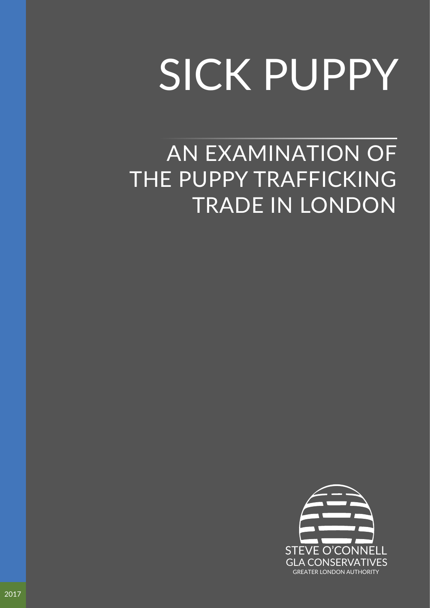# SICK PUPPY

AN EXAMINATION OF THE PUPPY TRAFFICKING TRADE IN LONDON

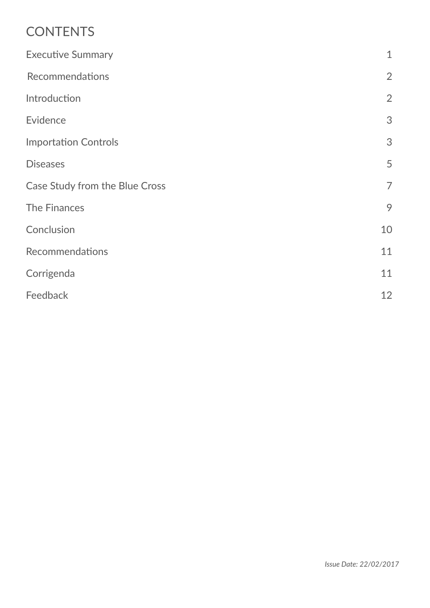# **CONTENTS**

| $\mathbf{1}$   |
|----------------|
| $\overline{2}$ |
| $\overline{2}$ |
| 3              |
| 3              |
| 5              |
| $\overline{7}$ |
| 9              |
| 10             |
| 11             |
| 11             |
| 12             |
|                |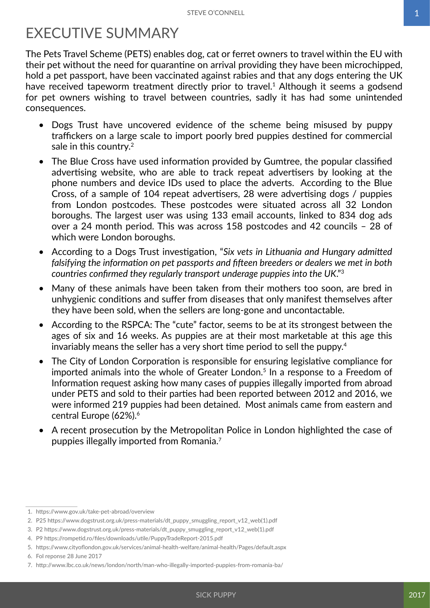# <span id="page-2-0"></span>EXECUTIVE SUMMARY

The Pets Travel Scheme (PETS) enables dog, cat or ferret owners to travel within the EU with their pet without the need for quarantine on arrival providing they have been microchipped, hold a pet passport, have been vaccinated against rabies and that any dogs entering the UK have received tapeworm treatment directly prior to travel.<sup>1</sup> Although it seems a godsend for pet owners wishing to travel between countries, sadly it has had some unintended consequences.

- Dogs Trust have uncovered evidence of the scheme being misused by puppy traffickers on a large scale to import poorly bred puppies destined for commercial sale in this country.<sup>2</sup>
- The Blue Cross have used information provided by Gumtree, the popular classified advertising website, who are able to track repeat advertisers by looking at the phone numbers and device IDs used to place the adverts. According to the Blue Cross, of a sample of 104 repeat advertisers, 28 were advertising dogs / puppies from London postcodes. These postcodes were situated across all 32 London boroughs. The largest user was using 133 email accounts, linked to 834 dog ads over a 24 month period. This was across 158 postcodes and 42 councils – 28 of which were London boroughs.
- According to a Dogs Trust investigation, "*Six vets in Lithuania and Hungary admitted falsifying the information on pet passports and fifteen breeders or dealers we met in both countries confirmed they regularly transport underage puppies into the UK*."3
- Many of these animals have been taken from their mothers too soon, are bred in unhygienic conditions and suffer from diseases that only manifest themselves after they have been sold, when the sellers are long-gone and uncontactable.
- According to the RSPCA: The "cute" factor, seems to be at its strongest between the ages of six and 16 weeks. As puppies are at their most marketable at this age this invariably means the seller has a very short time period to sell the puppy.<sup>4</sup>
- The City of London Corporation is responsible for ensuring legislative compliance for imported animals into the whole of Greater London.<sup>5</sup> In a response to a Freedom of Information request asking how many cases of puppies illegally imported from abroad under PETS and sold to their parties had been reported between 2012 and 2016, we were informed 219 puppies had been detained. Most animals came from eastern and central Europe (62%).<sup>6</sup>
- A recent prosecution by the Metropolitan Police in London highlighted the case of puppies illegally imported from Romania.7

<sup>1.</sup> https://www.gov.uk/take-pet-abroad/overview

<sup>2.</sup> P25 https://www.dogstrust.org.uk/press-materials/dt\_puppy\_smuggling\_report\_v12\_web(1).pdf

<sup>3.</sup> P2 https://www.dogstrust.org.uk/press-materials/dt\_puppy\_smuggling\_report\_v12\_web(1).pdf

<sup>4.</sup> P9 https://rompetid.ro/files/downloads/utile/PuppyTradeReport-2015.pdf

<sup>5.</sup> https://www.cityoflondon.gov.uk/services/animal-health-welfare/animal-health/Pages/default.aspx

<sup>6.</sup> FoI reponse 28 June 2017

<sup>7.</sup> http://www.lbc.co.uk/news/london/north/man-who-illegally-imported-puppies-from-romania-ba/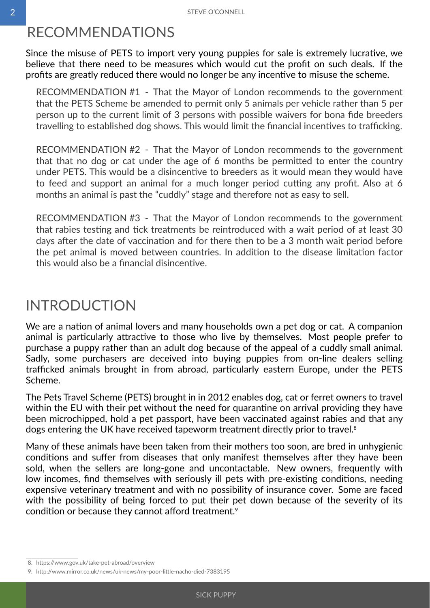## <span id="page-3-0"></span>RECOMMENDATIONS

Since the misuse of PETS to import very young puppies for sale is extremely lucrative, we believe that there need to be measures which would cut the profit on such deals. If the profits are greatly reduced there would no longer be any incentive to misuse the scheme.

RECOMMENDATION #1 - That the Mayor of London recommends to the government that the PETS Scheme be amended to permit only 5 animals per vehicle rather than 5 per person up to the current limit of 3 persons with possible waivers for bona fide breeders travelling to established dog shows. This would limit the financial incentives to trafficking.

RECOMMENDATION #2 - That the Mayor of London recommends to the government that that no dog or cat under the age of 6 months be permitted to enter the country under PETS. This would be a disincentive to breeders as it would mean they would have to feed and support an animal for a much longer period cutting any profit. Also at 6 months an animal is past the "cuddly" stage and therefore not as easy to sell.

RECOMMENDATION #3 - That the Mayor of London recommends to the government that rabies testing and tick treatments be reintroduced with a wait period of at least 30 days after the date of vaccination and for there then to be a 3 month wait period before the pet animal is moved between countries. In addition to the disease limitation factor this would also be a financial disincentive.

## INTRODUCTION

We are a nation of animal lovers and many households own a pet dog or cat. A companion animal is particularly attractive to those who live by themselves. Most people prefer to purchase a puppy rather than an adult dog because of the appeal of a cuddly small animal. Sadly, some purchasers are deceived into buying puppies from on-line dealers selling trafficked animals brought in from abroad, particularly eastern Europe, under the PETS Scheme.

The Pets Travel Scheme (PETS) brought in in 2012 enables dog, cat or ferret owners to travel within the EU with their pet without the need for quarantine on arrival providing they have been microchipped, hold a pet passport, have been vaccinated against rabies and that any dogs entering the UK have received tapeworm treatment directly prior to travel.<sup>8</sup>

Many of these animals have been taken from their mothers too soon, are bred in unhygienic conditions and suffer from diseases that only manifest themselves after they have been sold, when the sellers are long-gone and uncontactable. New owners, frequently with low incomes, find themselves with seriously ill pets with pre-existing conditions, needing expensive veterinary treatment and with no possibility of insurance cover. Some are faced with the possibility of being forced to put their pet down because of the severity of its condition or because they cannot afford treatment.<sup>9</sup>

<sup>8.</sup> https://www.gov.uk/take-pet-abroad/overview

<sup>9.</sup> http://www.mirror.co.uk/news/uk-news/my-poor-little-nacho-died-7383195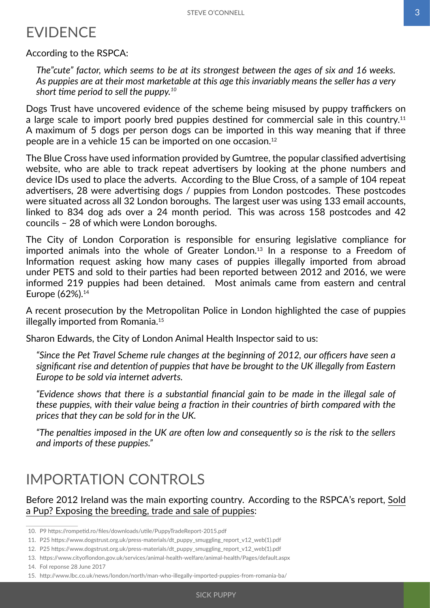## <span id="page-4-0"></span>EVIDENCE

According to the RSPCA:

*The"cute" factor, which seems to be at its strongest between the ages of six and 16 weeks. As puppies are at their most marketable at this age this invariably means the seller has a very short time period to sell the puppy.<sup>10</sup>*

Dogs Trust have uncovered evidence of the scheme being misused by puppy traffickers on a large scale to import poorly bred puppies destined for commercial sale in this country.<sup>11</sup> A maximum of 5 dogs per person dogs can be imported in this way meaning that if three people are in a vehicle 15 can be imported on one occasion.12

The Blue Cross have used information provided by Gumtree, the popular classified advertising website, who are able to track repeat advertisers by looking at the phone numbers and device IDs used to place the adverts. According to the Blue Cross, of a sample of 104 repeat advertisers, 28 were advertising dogs / puppies from London postcodes. These postcodes were situated across all 32 London boroughs. The largest user was using 133 email accounts, linked to 834 dog ads over a 24 month period. This was across 158 postcodes and 42 councils – 28 of which were London boroughs.

The City of London Corporation is responsible for ensuring legislative compliance for imported animals into the whole of Greater London.<sup>13</sup> In a response to a Freedom of Information request asking how many cases of puppies illegally imported from abroad under PETS and sold to their parties had been reported between 2012 and 2016, we were informed 219 puppies had been detained. Most animals came from eastern and central Europe (62%).14

A recent prosecution by the Metropolitan Police in London highlighted the case of puppies illegally imported from Romania.15

Sharon Edwards, the City of London Animal Health Inspector said to us:

*"Since the Pet Travel Scheme rule changes at the beginning of 2012, our officers have seen a significant rise and detention of puppies that have be brought to the UK illegally from Eastern Europe to be sold via internet adverts.*

*"Evidence shows that there is a substantial financial gain to be made in the illegal sale of these puppies, with their value being a fraction in their countries of birth compared with the prices that they can be sold for in the UK.*

*"The penalties imposed in the UK are often low and consequently so is the risk to the sellers and imports of these puppies."*

## IMPORTATION CONTROLS

Before 2012 Ireland was the main exporting country. According to the RSPCA's report, Sold a Pup? Exposing the breeding, trade and sale of puppies:

14. Fol reponse 28 June 2017

<sup>10.</sup> P9 https://rompetid.ro/files/downloads/utile/PuppyTradeReport-2015.pdf

<sup>11.</sup> P25 https://www.dogstrust.org.uk/press-materials/dt\_puppy\_smuggling\_report\_v12\_web(1).pdf

<sup>12.</sup> P25 https://www.dogstrust.org.uk/press-materials/dt\_puppy\_smuggling\_report\_v12\_web(1).pdf

<sup>13.</sup> https://www.cityoflondon.gov.uk/services/animal-health-welfare/animal-health/Pages/default.aspx

<sup>15.</sup> http://www.lbc.co.uk/news/london/north/man-who-illegally-imported-puppies-from-romania-ba/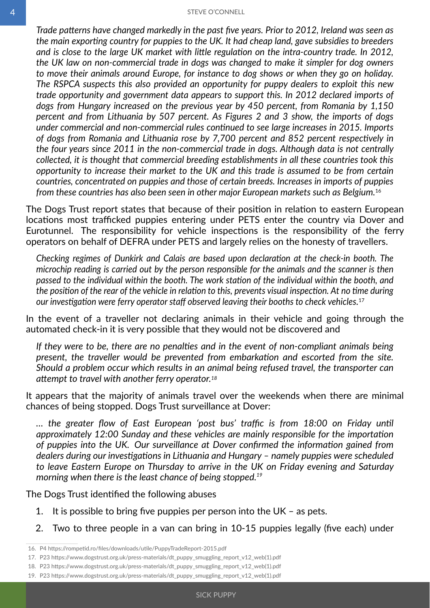*Trade patterns have changed markedly in the past five years. Prior to 2012, Ireland was seen as the main exporting country for puppies to the UK. It had cheap land, gave subsidies to breeders and is close to the large UK market with little regulation on the intra-country trade. In 2012, the UK law on non-commercial trade in dogs was changed to make it simpler for dog owners to move their animals around Europe, for instance to dog shows or when they go on holiday. The RSPCA suspects this also provided an opportunity for puppy dealers to exploit this new trade opportunity and government data appears to support this. In 2012 declared imports of dogs from Hungary increased on the previous year by 450 percent, from Romania by 1,150 percent and from Lithuania by 507 percent. As Figures 2 and 3 show, the imports of dogs under commercial and non-commercial rules continued to see large increases in 2015. Imports of dogs from Romania and Lithuania rose by 7,700 percent and 852 percent respectively in the four years since 2011 in the non-commercial trade in dogs. Although data is not centrally collected, it is thought that commercial breeding establishments in all these countries took this opportunity to increase their market to the UK and this trade is assumed to be from certain countries, concentrated on puppies and those of certain breeds. Increases in imports of puppies from these countries has also been seen in other major European markets such as Belgium.*<sup>16</sup>

The Dogs Trust report states that because of their position in relation to eastern European locations most trafficked puppies entering under PETS enter the country via Dover and Eurotunnel. The responsibility for vehicle inspections is the responsibility of the ferry operators on behalf of DEFRA under PETS and largely relies on the honesty of travellers.

*Checking regimes of Dunkirk and Calais are based upon declaration at the check-in booth. The microchip reading is carried out by the person responsible for the animals and the scanner is then passed to the individual within the booth. The work station of the individual within the booth, and the position of the rear of the vehicle in relation to this, prevents visual inspection. At no time during our investigation were ferry operator staff observed leaving their booths to check vehicles.* 17

In the event of a traveller not declaring animals in their vehicle and going through the automated check-in it is very possible that they would not be discovered and

*If they were to be, there are no penalties and in the event of non-compliant animals being present, the traveller would be prevented from embarkation and escorted from the site. Should a problem occur which results in an animal being refused travel, the transporter can attempt to travel with another ferry operator.18*

It appears that the majority of animals travel over the weekends when there are minimal chances of being stopped. Dogs Trust surveillance at Dover:

*… the greater flow of East European 'post bus' traffic is from 18:00 on Friday until approximately 12:00 Sunday and these vehicles are mainly responsible for the importation of puppies into the UK. Our surveillance at Dover confirmed the information gained from dealers during our investigations in Lithuania and Hungary – namely puppies were scheduled to leave Eastern Europe on Thursday to arrive in the UK on Friday evening and Saturday morning when there is the least chance of being stopped.<sup>19</sup>*

The Dogs Trust identified the following abuses

- 1. It is possible to bring five puppies per person into the UK as pets.
- 2. Two to three people in a van can bring in 10-15 puppies legally (five each) under

<sup>16.</sup> P4 https://rompetid.ro/files/downloads/utile/PuppyTradeReport-2015.pdf

<sup>17.</sup> P23 https://www.dogstrust.org.uk/press-materials/dt\_puppy\_smuggling\_report\_v12\_web(1).pdf

<sup>18.</sup> P23 https://www.dogstrust.org.uk/press-materials/dt\_puppy\_smuggling\_report\_v12\_web(1).pdf

<sup>19.</sup> P23 https://www.dogstrust.org.uk/press-materials/dt\_puppy\_smuggling\_report\_v12\_web(1).pdf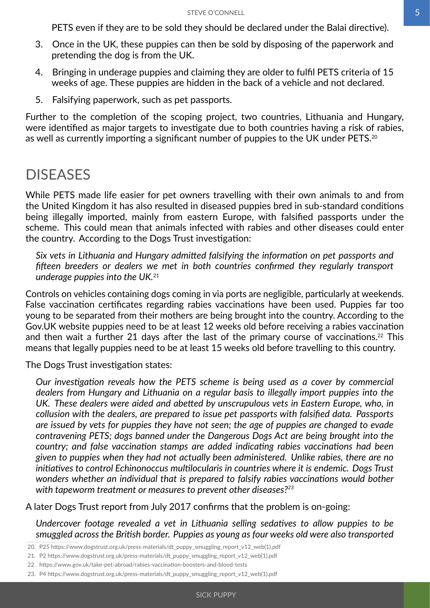PETS even if they are to be sold they should be declared under the Balai directive).

- <span id="page-6-0"></span>3. Once in the UK, these puppies can then be sold by disposing of the paperwork and pretending the dog is from the UK.
- 4. Bringing in underage puppies and claiming they are older to fulfil PETS criteria of 15 weeks of age. These puppies are hidden in the back of a vehicle and not declared.
- 5. Falsifying paperwork, such as pet passports.

Further to the completion of the scoping project, two countries, Lithuania and Hungary, were identified as major targets to investigate due to both countries having a risk of rabies, as well as currently importing a significant number of puppies to the UK under PETS.20

#### DISEASES

While PETS made life easier for pet owners travelling with their own animals to and from the United Kingdom it has also resulted in diseased puppies bred in sub-standard conditions being illegally imported, mainly from eastern Europe, with falsified passports under the scheme. This could mean that animals infected with rabies and other diseases could enter the country. According to the Dogs Trust investigation:

*Six vets in Lithuania and Hungary admitted falsifying the information on pet passports and fifteen breeders or dealers we met in both countries confirmed they regularly transport underage puppies into the UK.*<sup>21</sup>

Controls on vehicles containing dogs coming in via ports are negligible, particularly at weekends. False vaccination certificates regarding rabies vaccinations have been used. Puppies far too young to be separated from their mothers are being brought into the country. According to the Gov.UK website puppies need to be at least 12 weeks old before receiving a rabies vaccination and then wait a further 21 days after the last of the primary course of vaccinations.<sup>22</sup> This means that legally puppies need to be at least 15 weeks old before travelling to this country.

The Dogs Trust investigation states:

*Our investigation reveals how the PETS scheme is being used as a cover by commercial dealers from Hungary and Lithuania on a regular basis to illegally import puppies into the UK. These dealers were aided and abetted by unscrupulous vets in Eastern Europe, who, in collusion with the dealers, are prepared to issue pet passports with falsified data. Passports are issued by vets for puppies they have not seen; the age of puppies are changed to evade contravening PETS; dogs banned under the Dangerous Dogs Act are being brought into the country; and false vaccination stamps are added indicating rabies vaccinations had been given to puppies when they had not actually been administered. Unlike rabies, there are no initiatives to control Echinonoccus multilocularis in countries where it is endemic. Dogs Trust wonders whether an individual that is prepared to falsify rabies vaccinations would bother with tapeworm treatment or measures to prevent other diseases?23*

A later Dogs Trust report from July 2017 confirms that the problem is on-going:

*Undercover footage revealed a vet in Lithuania selling sedatives to allow puppies to be smuggled across the British border. Puppies as young as four weeks old were also transported* 

<sup>20.</sup> P25 https://www.dogstrust.org.uk/press-materials/dt\_puppy\_smuggling\_report\_v12\_web(1).pdf

<sup>21.</sup> P2 https://www.dogstrust.org.uk/press-materials/dt\_puppy\_smuggling\_report\_v12\_web(1).pdf

<sup>22.</sup> https://www.gov.uk/take-pet-abroad/rabies-vaccination-boosters-and-blood-tests

<sup>23.</sup> P4 https://www.dogstrust.org.uk/press-materials/dt\_puppy\_smuggling\_report\_v12\_web(1).pdf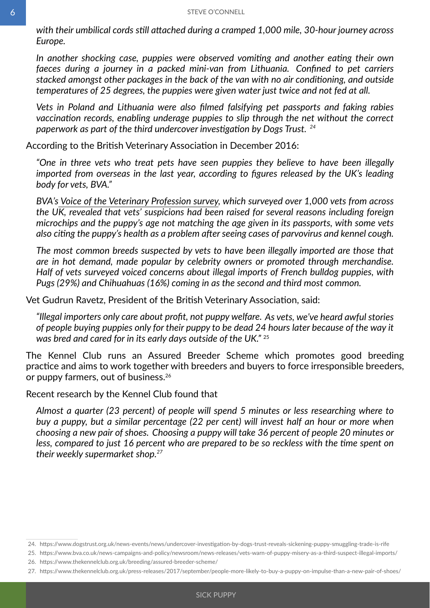*with their umbilical cords still attached during a cramped 1,000 mile, 30-hour journey across Europe.*

*In another shocking case, puppies were observed vomiting and another eating their own faeces during a journey in a packed mini-van from Lithuania. Confined to pet carriers stacked amongst other packages in the back of the van with no air conditioning, and outside temperatures of 25 degrees, the puppies were given water just twice and not fed at all.*

*Vets in Poland and Lithuania were also filmed falsifying pet passports and faking rabies vaccination records, enabling underage puppies to slip through the net without the correct paperwork as part of the third undercover investigation by Dogs Trust. <sup>24</sup>*

According to the British Veterinary Association in December 2016:

*"One in three vets who treat pets have seen puppies they believe to have been illegally imported from overseas in the last year, according to figures released by the UK's leading body for vets, BVA."*

*BVA's [Voice of the Veterinary Profession survey](https://www.bva.co.uk/voice/), which surveyed over 1,000 vets from across the UK, revealed that vets' suspicions had been raised for several reasons including foreign microchips and the puppy's age not matching the age given in its passports, with some vets also citing the puppy's health as a problem after seeing cases of parvovirus and kennel cough.*

*The most common breeds suspected by vets to have been illegally imported are those that are in hot demand, made popular by celebrity owners or promoted through merchandise. Half of vets surveyed voiced concerns about illegal imports of French bulldog puppies, with Pugs (29%) and Chihuahuas (16%) coming in as the second and third most common.*

Vet Gudrun Ravetz, President of the British Veterinary Association, said:

*"Illegal importers only care about profit, not puppy welfare. As vets, we've heard awful stories of people buying puppies only for their puppy to be dead 24 hours later because of the way it was bred and cared for in its early days outside of the UK."* <sup>25</sup>

The Kennel Club runs an Assured Breeder Scheme which promotes good breeding practice and aims to work together with breeders and buyers to force irresponsible breeders, or puppy farmers, out of business.26

Recent research by the Kennel Club found that

*Almost a quarter (23 percent) of people will spend 5 minutes or less researching where to buy a puppy, but a similar percentage (22 per cent) will invest half an hour or more when choosing a new pair of shoes. Choosing a puppy will take 36 percent of people 20 minutes or less, compared to just 16 percent who are prepared to be so reckless with the time spent on their weekly supermarket shop.<sup>27</sup>*

<sup>24.</sup> https://www.dogstrust.org.uk/news-events/news/undercover-investigation-by-dogs-trust-reveals-sickening-puppy-smuggling-trade-is-rife

<sup>25.</sup> https://www.bva.co.uk/news-campaigns-and-policy/newsroom/news-releases/vets-warn-of-puppy-misery-as-a-third-suspect-illegal-imports/

<sup>26.</sup> https://www.thekennelclub.org.uk/breeding/assured-breeder-scheme/

<sup>27.</sup> https://www.thekennelclub.org.uk/press-releases/2017/september/people-more-likely-to-buy-a-puppy-on-impulse-than-a-new-pair-of-shoes/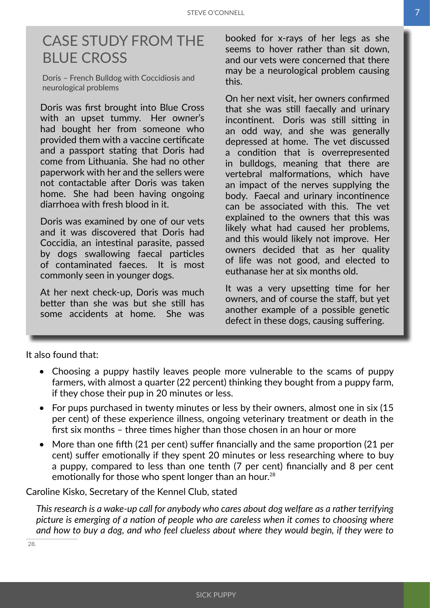## <span id="page-8-0"></span>CASE STUDY FROM THE BLUE CROSS

Doris – French Bulldog with Coccidiosis and neurological problems

Doris was first brought into Blue Cross with an upset tummy. Her owner's had bought her from someone who provided them with a vaccine certificate and a passport stating that Doris had come from Lithuania. She had no other paperwork with her and the sellers were not contactable after Doris was taken home. She had been having ongoing diarrhoea with fresh blood in it.

Doris was examined by one of our vets and it was discovered that Doris had Coccidia, an intestinal parasite, passed by dogs swallowing faecal particles of contaminated faeces. It is most commonly seen in younger dogs.

At her next check-up, Doris was much better than she was but she still has some accidents at home. She was

booked for x-rays of her legs as she seems to hover rather than sit down, and our vets were concerned that there may be a neurological problem causing this.

On her next visit, her owners confirmed that she was still faecally and urinary incontinent. Doris was still sitting in an odd way, and she was generally depressed at home. The vet discussed a condition that is overrepresented in bulldogs, meaning that there are vertebral malformations, which have an impact of the nerves supplying the body. Faecal and urinary incontinence can be associated with this. The vet explained to the owners that this was likely what had caused her problems, and this would likely not improve. Her owners decided that as her quality of life was not good, and elected to euthanase her at six months old.

It was a very upsetting time for her owners, and of course the staff, but yet another example of a possible genetic defect in these dogs, causing suffering.

It also found that:

- Choosing a puppy hastily leaves people more vulnerable to the scams of puppy farmers, with almost a quarter (22 percent) thinking they bought from a puppy farm, if they chose their pup in 20 minutes or less.
- For pups purchased in twenty minutes or less by their owners, almost one in six (15) per cent) of these experience illness, ongoing veterinary treatment or death in the first six months – three times higher than those chosen in an hour or more
- More than one fifth (21 per cent) suffer financially and the same proportion (21 per cent) suffer emotionally if they spent 20 minutes or less researching where to buy a puppy, compared to less than one tenth (7 per cent) financially and 8 per cent emotionally for those who spent longer than an hour.<sup>28</sup>

Caroline Kisko, Secretary of the Kennel Club, stated

*This research is a wake-up call for anybody who cares about dog welfare as a rather terrifying picture is emerging of a nation of people who are careless when it comes to choosing where and how to buy a dog, and who feel clueless about where they would begin, if they were to* 

28.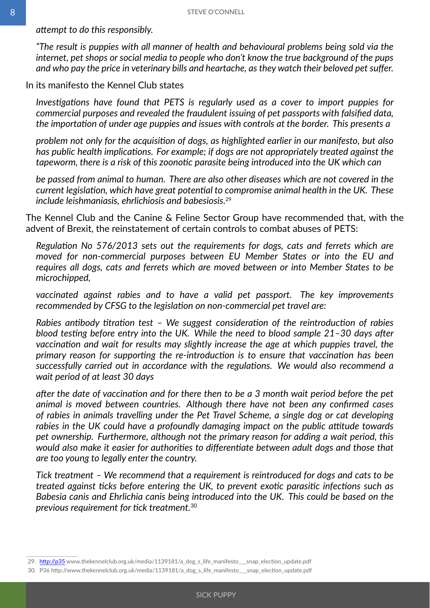*attempt to do this responsibly.*

*"The result is puppies with all manner of health and behavioural problems being sold via the internet, pet shops or social media to people who don't know the true background of the pups and who pay the price in veterinary bills and heartache, as they watch their beloved pet suffer.*

In its manifesto the Kennel Club states

*Investigations have found that PETS is regularly used as a cover to import puppies for commercial purposes and revealed the fraudulent issuing of pet passports with falsified data, the importation of under age puppies and issues with controls at the border. This presents a*

*problem not only for the acquisition of dogs, as highlighted earlier in our manifesto, but also has public health implications. For example; if dogs are not appropriately treated against the tapeworm, there is a risk of this zoonotic parasite being introduced into the UK which can*

*be passed from animal to human. There are also other diseases which are not covered in the current legislation, which have great potential to compromise animal health in the UK. These include leishmaniasis, ehrlichiosis and babesiosis.*<sup>29</sup>

The Kennel Club and the Canine & Feline Sector Group have recommended that, with the advent of Brexit, the reinstatement of certain controls to combat abuses of PETS:

*Regulation No 576/2013 sets out the requirements for dogs, cats and ferrets which are moved for non-commercial purposes between EU Member States or into the EU and requires all dogs, cats and ferrets which are moved between or into Member States to be microchipped,*

*vaccinated against rabies and to have a valid pet passport. The key improvements recommended by CFSG to the legislation on non-commercial pet travel are:*

*Rabies antibody titration test – We suggest consideration of the reintroduction of rabies blood testing before entry into the UK. While the need to blood sample 21–30 days after vaccination and wait for results may slightly increase the age at which puppies travel, the primary reason for supporting the re-introduction is to ensure that vaccination has been successfully carried out in accordance with the regulations. We would also recommend a wait period of at least 30 days*

*after the date of vaccination and for there then to be a 3 month wait period before the pet animal is moved between countries. Although there have not been any confirmed cases of rabies in animals travelling under the Pet Travel Scheme, a single dog or cat developing rabies in the UK could have a profoundly damaging impact on the public attitude towards pet ownership. Furthermore, although not the primary reason for adding a wait period, this would also make it easier for authorities to differentiate between adult dogs and those that are too young to legally enter the country.*

*Tick treatment – We recommend that a requirement is reintroduced for dogs and cats to be treated against ticks before entering the UK, to prevent exotic parasitic infections such as Babesia canis and Ehrlichia canis being introduced into the UK. This could be based on the previous requirement for tick treatment.*<sup>30</sup>

<sup>29.</sup> http://p35 www.thekennelclub.org.uk/media/1139181/a\_dog\_s\_life\_manifesto\_\_\_snap\_election\_update.pdf

<sup>30.</sup> P36 http://www.thekennelclub.org.uk/media/1139181/a\_dog\_s\_life\_manifesto\_\_\_snap\_election\_update.pdf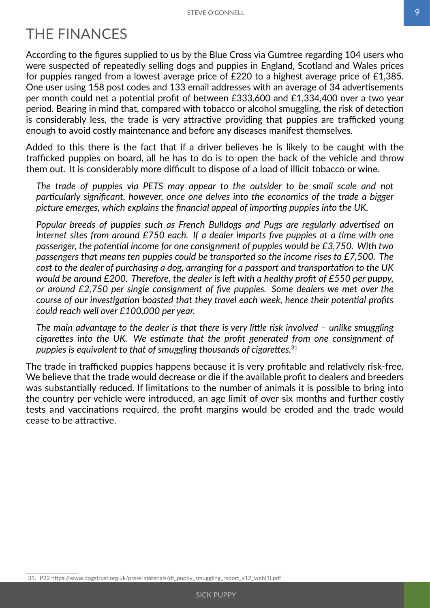# <span id="page-10-0"></span>THE FINANCES

According to the figures supplied to us by the Blue Cross via Gumtree regarding 104 users who were suspected of repeatedly selling dogs and puppies in England, Scotland and Wales prices for puppies ranged from a lowest average price of £220 to a highest average price of £1,385. One user using 158 post codes and 133 email addresses with an average of 34 advertisements per month could net a potential profit of between £333,600 and £1,334,400 over a two year period. Bearing in mind that, compared with tobacco or alcohol smuggling, the risk of detection is considerably less, the trade is very attractive providing that puppies are trafficked young enough to avoid costly maintenance and before any diseases manifest themselves.

Added to this there is the fact that if a driver believes he is likely to be caught with the trafficked puppies on board, all he has to do is to open the back of the vehicle and throw them out. It is considerably more difficult to dispose of a load of illicit tobacco or wine.

*The trade of puppies via PETS may appear to the outsider to be small scale and not particularly significant, however, once one delves into the economics of the trade a bigger picture emerges, which explains the financial appeal of importing puppies into the UK.*

*Popular breeds of puppies such as French Bulldogs and Pugs are regularly advertised on internet sites from around £750 each. If a dealer imports five puppies at a time with one passenger, the potential income for one consignment of puppies would be £3,750. With two passengers that means ten puppies could be transported so the income rises to £7,500. The cost to the dealer of purchasing a dog, arranging for a passport and transportation to the UK would be around £200. Therefore, the dealer is left with a healthy profit of £550 per puppy, or around £2,750 per single consignment of five puppies. Some dealers we met over the course of our investigation boasted that they travel each week, hence their potential profits could reach well over £100,000 per year.*

*The main advantage to the dealer is that there is very little risk involved – unlike smuggling cigarettes into the UK. We estimate that the profit generated from one consignment of puppies is equivalent to that of smuggling thousands of cigarettes.*<sup>31</sup>

The trade in trafficked puppies happens because it is very profitable and relatively risk-free. We believe that the trade would decrease or die if the available profit to dealers and breeders was substantially reduced. If limitations to the number of animals it is possible to bring into the country per vehicle were introduced, an age limit of over six months and further costly tests and vaccinations required, the profit margins would be eroded and the trade would cease to be attractive.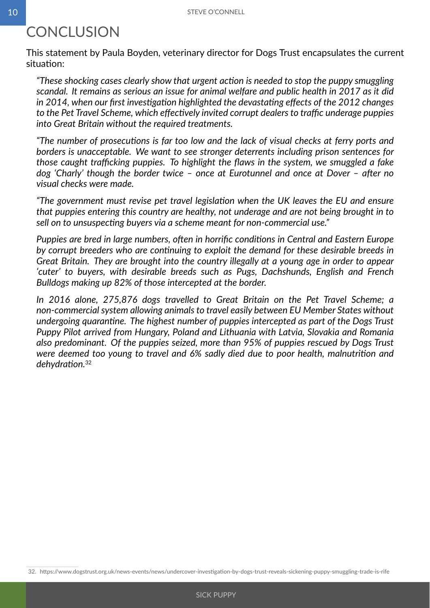# <span id="page-11-0"></span>**CONCLUSION**

This statement by Paula Boyden, veterinary director for Dogs Trust encapsulates the current situation:

*"These shocking cases clearly show that urgent action is needed to stop the puppy smuggling scandal. It remains as serious an issue for animal welfare and public health in 2017 as it did in 2014, when our first investigation highlighted the devastating effects of the 2012 changes to the Pet Travel Scheme, which effectively invited corrupt dealers to traffic underage puppies into Great Britain without the required treatments.*

*"The number of prosecutions is far too low and the lack of visual checks at ferry ports and borders is unacceptable. We want to see stronger deterrents including prison sentences for those caught trafficking puppies. To highlight the flaws in the system, we smuggled a fake dog 'Charly' though the border twice – once at Eurotunnel and once at Dover – after no visual checks were made.*

*"The government must revise pet travel legislation when the UK leaves the EU and ensure that puppies entering this country are healthy, not underage and are not being brought in to sell on to unsuspecting buyers via a scheme meant for non-commercial use."*

*Puppies are bred in large numbers, often in horrific conditions in Central and Eastern Europe by corrupt breeders who are continuing to exploit the demand for these desirable breeds in Great Britain. They are brought into the country illegally at a young age in order to appear 'cuter' to buyers, with desirable breeds such as Pugs, Dachshunds, English and French Bulldogs making up 82% of those intercepted at the border.*

In 2016 alone, 275,876 dogs travelled to Great Britain on the Pet Travel Scheme; a *non-commercial system allowing animals to travel easily between EU Member States without undergoing quarantine. The highest number of puppies intercepted as part of the Dogs Trust Puppy Pilot arrived from Hungary, Poland and Lithuania with Latvia, Slovakia and Romania also predominant. Of the puppies seized, more than 95% of puppies rescued by Dogs Trust were deemed too young to travel and 6% sadly died due to poor health, malnutrition and dehydration.*<sup>32</sup>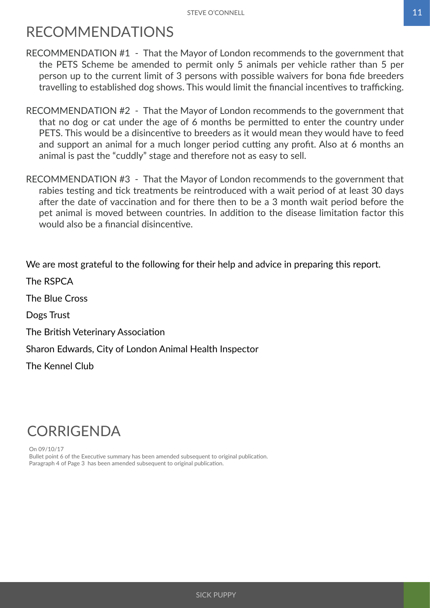## <span id="page-12-0"></span>RECOMMENDATIONS

- RECOMMENDATION #1 That the Mayor of London recommends to the government that the PETS Scheme be amended to permit only 5 animals per vehicle rather than 5 per person up to the current limit of 3 persons with possible waivers for bona fide breeders travelling to established dog shows. This would limit the financial incentives to trafficking.
- RECOMMENDATION #2 That the Mayor of London recommends to the government that that no dog or cat under the age of 6 months be permitted to enter the country under PETS. This would be a disincentive to breeders as it would mean they would have to feed and support an animal for a much longer period cutting any profit. Also at 6 months an animal is past the "cuddly" stage and therefore not as easy to sell.
- RECOMMENDATION #3 That the Mayor of London recommends to the government that rabies testing and tick treatments be reintroduced with a wait period of at least 30 days after the date of vaccination and for there then to be a 3 month wait period before the pet animal is moved between countries. In addition to the disease limitation factor this would also be a financial disincentive.

We are most grateful to the following for their help and advice in preparing this report.

The RSPCA The Blue Cross Dogs Trust The British Veterinary Association Sharon Edwards, City of London Animal Health Inspector The Kennel Club

## **CORRIGENDA**

On 09/10/17 Bullet point 6 of the Executive summary has been amended subsequent to original publication. Paragraph 4 of Page 3 has been amended subsequent to original publication.